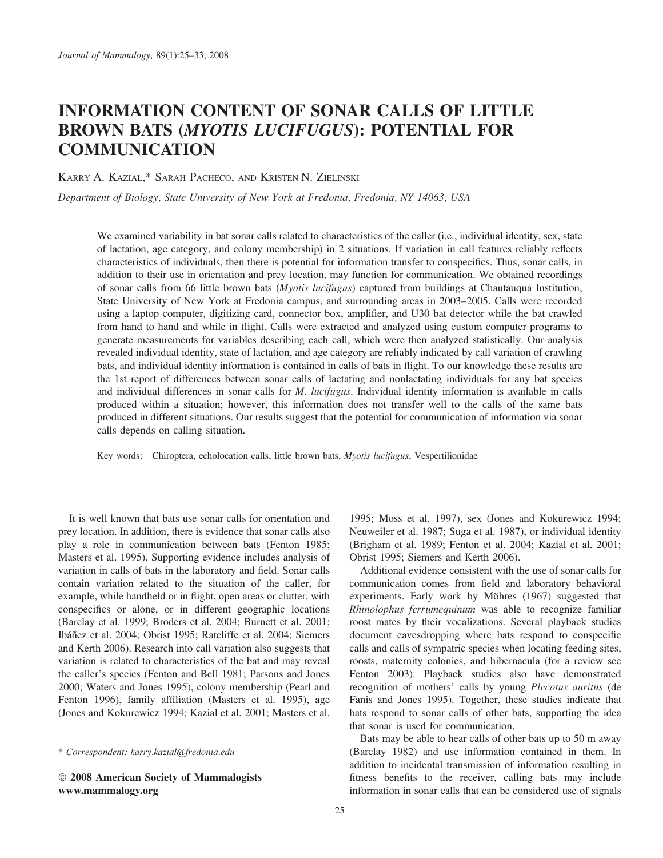# INFORMATION CONTENT OF SONAR CALLS OF LITTLE BROWN BATS (MYOTIS LUCIFUGUS): POTENTIAL FOR **COMMUNICATION**

KARRY A. KAZIAL,\* SARAH PACHECO, AND KRISTEN N. ZIELINSKI

Department of Biology, State University of New York at Fredonia, Fredonia, NY 14063, USA

We examined variability in bat sonar calls related to characteristics of the caller (i.e., individual identity, sex, state of lactation, age category, and colony membership) in 2 situations. If variation in call features reliably reflects characteristics of individuals, then there is potential for information transfer to conspecifics. Thus, sonar calls, in addition to their use in orientation and prey location, may function for communication. We obtained recordings of sonar calls from 66 little brown bats (*Myotis lucifugus*) captured from buildings at Chautauqua Institution, State University of New York at Fredonia campus, and surrounding areas in 2003–2005. Calls were recorded using a laptop computer, digitizing card, connector box, amplifier, and U30 bat detector while the bat crawled from hand to hand and while in flight. Calls were extracted and analyzed using custom computer programs to generate measurements for variables describing each call, which were then analyzed statistically. Our analysis revealed individual identity, state of lactation, and age category are reliably indicated by call variation of crawling bats, and individual identity information is contained in calls of bats in flight. To our knowledge these results are the 1st report of differences between sonar calls of lactating and nonlactating individuals for any bat species and individual differences in sonar calls for M. *lucifugus*. Individual identity information is available in calls produced within a situation; however, this information does not transfer well to the calls of the same bats produced in different situations. Our results suggest that the potential for communication of information via sonar calls depends on calling situation.

Key words: Chiroptera, echolocation calls, little brown bats, Myotis lucifugus, Vespertilionidae

It is well known that bats use sonar calls for orientation and prey location. In addition, there is evidence that sonar calls also play a role in communication between bats (Fenton 1985; Masters et al. 1995). Supporting evidence includes analysis of variation in calls of bats in the laboratory and field. Sonar calls contain variation related to the situation of the caller, for example, while handheld or in flight, open areas or clutter, with conspecifics or alone, or in different geographic locations (Barclay et al. 1999; Broders et al. 2004; Burnett et al. 2001; Ibáñez et al. 2004; Obrist 1995; Ratcliffe et al. 2004; Siemers and Kerth 2006). Research into call variation also suggests that variation is related to characteristics of the bat and may reveal the caller's species (Fenton and Bell 1981; Parsons and Jones 2000; Waters and Jones 1995), colony membership (Pearl and Fenton 1996), family affiliation (Masters et al. 1995), age (Jones and Kokurewicz 1994; Kazial et al. 2001; Masters et al. 1995; Moss et al. 1997), sex (Jones and Kokurewicz 1994; Neuweiler et al. 1987; Suga et al. 1987), or individual identity (Brigham et al. 1989; Fenton et al. 2004; Kazial et al. 2001; Obrist 1995; Siemers and Kerth 2006).

Additional evidence consistent with the use of sonar calls for communication comes from field and laboratory behavioral experiments. Early work by Möhres (1967) suggested that Rhinolophus ferrumequinum was able to recognize familiar roost mates by their vocalizations. Several playback studies document eavesdropping where bats respond to conspecific calls and calls of sympatric species when locating feeding sites, roosts, maternity colonies, and hibernacula (for a review see Fenton 2003). Playback studies also have demonstrated recognition of mothers' calls by young Plecotus auritus (de Fanis and Jones 1995). Together, these studies indicate that bats respond to sonar calls of other bats, supporting the idea that sonar is used for communication.

Bats may be able to hear calls of other bats up to 50 m away (Barclay 1982) and use information contained in them. In addition to incidental transmission of information resulting in fitness benefits to the receiver, calling bats may include information in sonar calls that can be considered use of signals

<sup>\*</sup> Correspondent: karry.kazial@fredonia.edu

<sup>-</sup> 2008 American Society of Mammalogists www.mammalogy.org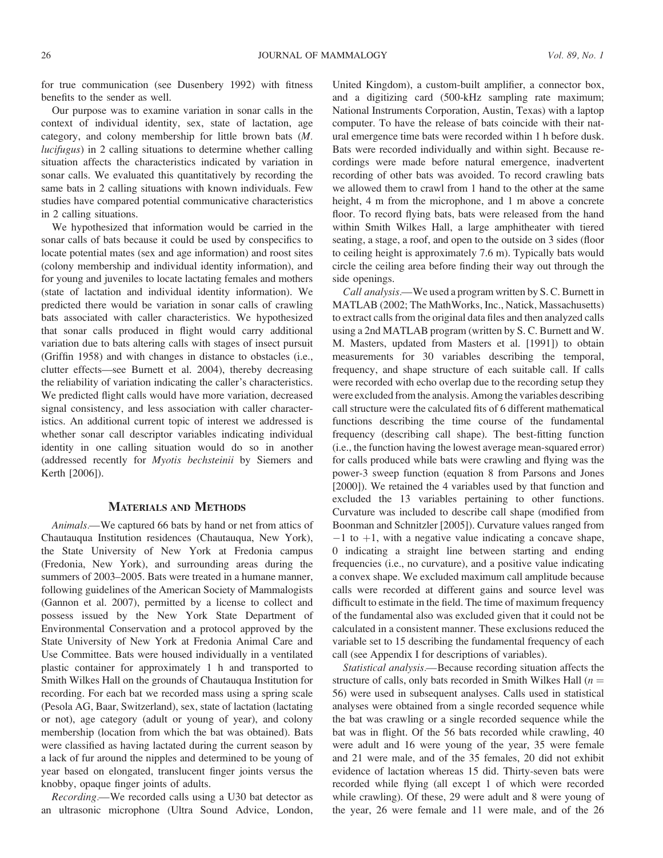for true communication (see Dusenbery 1992) with fitness benefits to the sender as well.

Our purpose was to examine variation in sonar calls in the context of individual identity, sex, state of lactation, age category, and colony membership for little brown bats (M. lucifugus) in 2 calling situations to determine whether calling situation affects the characteristics indicated by variation in sonar calls. We evaluated this quantitatively by recording the same bats in 2 calling situations with known individuals. Few studies have compared potential communicative characteristics in 2 calling situations.

We hypothesized that information would be carried in the sonar calls of bats because it could be used by conspecifics to locate potential mates (sex and age information) and roost sites (colony membership and individual identity information), and for young and juveniles to locate lactating females and mothers (state of lactation and individual identity information). We predicted there would be variation in sonar calls of crawling bats associated with caller characteristics. We hypothesized that sonar calls produced in flight would carry additional variation due to bats altering calls with stages of insect pursuit (Griffin 1958) and with changes in distance to obstacles (i.e., clutter effects—see Burnett et al. 2004), thereby decreasing the reliability of variation indicating the caller's characteristics. We predicted flight calls would have more variation, decreased signal consistency, and less association with caller characteristics. An additional current topic of interest we addressed is whether sonar call descriptor variables indicating individual identity in one calling situation would do so in another (addressed recently for Myotis bechsteinii by Siemers and Kerth [2006]).

#### MATERIALS AND METHODS

Animals.—We captured 66 bats by hand or net from attics of Chautauqua Institution residences (Chautauqua, New York), the State University of New York at Fredonia campus (Fredonia, New York), and surrounding areas during the summers of 2003–2005. Bats were treated in a humane manner, following guidelines of the American Society of Mammalogists (Gannon et al. 2007), permitted by a license to collect and possess issued by the New York State Department of Environmental Conservation and a protocol approved by the State University of New York at Fredonia Animal Care and Use Committee. Bats were housed individually in a ventilated plastic container for approximately 1 h and transported to Smith Wilkes Hall on the grounds of Chautauqua Institution for recording. For each bat we recorded mass using a spring scale (Pesola AG, Baar, Switzerland), sex, state of lactation (lactating or not), age category (adult or young of year), and colony membership (location from which the bat was obtained). Bats were classified as having lactated during the current season by a lack of fur around the nipples and determined to be young of year based on elongated, translucent finger joints versus the knobby, opaque finger joints of adults.

Recording.—We recorded calls using a U30 bat detector as an ultrasonic microphone (Ultra Sound Advice, London, United Kingdom), a custom-built amplifier, a connector box, and a digitizing card (500-kHz sampling rate maximum; National Instruments Corporation, Austin, Texas) with a laptop computer. To have the release of bats coincide with their natural emergence time bats were recorded within 1 h before dusk. Bats were recorded individually and within sight. Because recordings were made before natural emergence, inadvertent recording of other bats was avoided. To record crawling bats we allowed them to crawl from 1 hand to the other at the same height, 4 m from the microphone, and 1 m above a concrete floor. To record flying bats, bats were released from the hand within Smith Wilkes Hall, a large amphitheater with tiered seating, a stage, a roof, and open to the outside on 3 sides (floor to ceiling height is approximately 7.6 m). Typically bats would circle the ceiling area before finding their way out through the side openings.

Call analysis.—We used a program written by S. C. Burnett in MATLAB (2002; The MathWorks, Inc., Natick, Massachusetts) to extract calls from the original data files and then analyzed calls using a 2nd MATLAB program (written by S. C. Burnett and W. M. Masters, updated from Masters et al. [1991]) to obtain measurements for 30 variables describing the temporal, frequency, and shape structure of each suitable call. If calls were recorded with echo overlap due to the recording setup they were excluded from the analysis. Among the variables describing call structure were the calculated fits of 6 different mathematical functions describing the time course of the fundamental frequency (describing call shape). The best-fitting function (i.e., the function having the lowest average mean-squared error) for calls produced while bats were crawling and flying was the power-3 sweep function (equation 8 from Parsons and Jones [2000]). We retained the 4 variables used by that function and excluded the 13 variables pertaining to other functions. Curvature was included to describe call shape (modified from Boonman and Schnitzler [2005]). Curvature values ranged from  $-1$  to  $+1$ , with a negative value indicating a concave shape, 0 indicating a straight line between starting and ending frequencies (i.e., no curvature), and a positive value indicating a convex shape. We excluded maximum call amplitude because calls were recorded at different gains and source level was difficult to estimate in the field. The time of maximum frequency of the fundamental also was excluded given that it could not be calculated in a consistent manner. These exclusions reduced the variable set to 15 describing the fundamental frequency of each call (see Appendix I for descriptions of variables).

Statistical analysis.—Because recording situation affects the structure of calls, only bats recorded in Smith Wilkes Hall  $(n =$ 56) were used in subsequent analyses. Calls used in statistical analyses were obtained from a single recorded sequence while the bat was crawling or a single recorded sequence while the bat was in flight. Of the 56 bats recorded while crawling, 40 were adult and 16 were young of the year, 35 were female and 21 were male, and of the 35 females, 20 did not exhibit evidence of lactation whereas 15 did. Thirty-seven bats were recorded while flying (all except 1 of which were recorded while crawling). Of these, 29 were adult and 8 were young of the year, 26 were female and 11 were male, and of the 26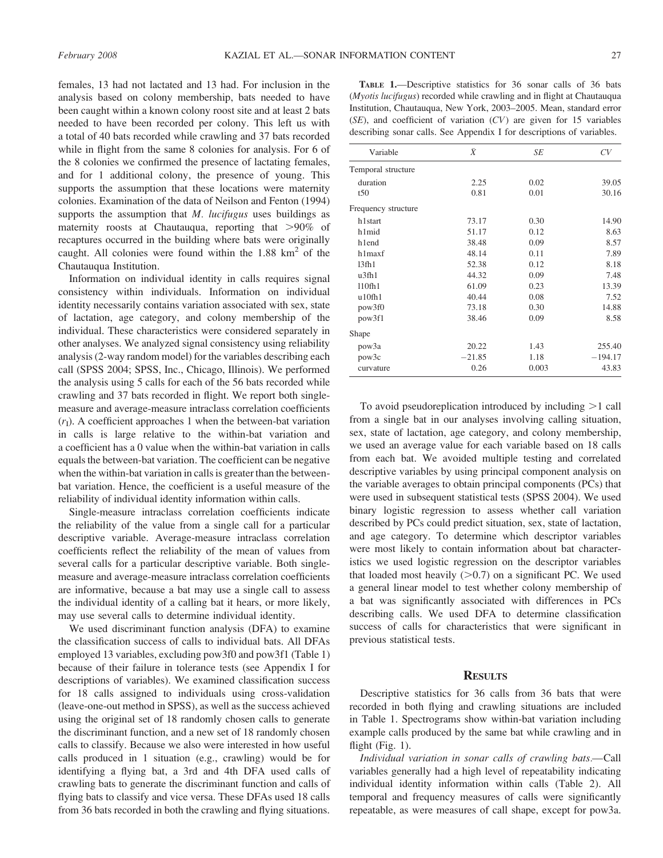females, 13 had not lactated and 13 had. For inclusion in the analysis based on colony membership, bats needed to have been caught within a known colony roost site and at least 2 bats needed to have been recorded per colony. This left us with a total of 40 bats recorded while crawling and 37 bats recorded while in flight from the same 8 colonies for analysis. For 6 of the 8 colonies we confirmed the presence of lactating females, and for 1 additional colony, the presence of young. This supports the assumption that these locations were maternity colonies. Examination of the data of Neilson and Fenton (1994) supports the assumption that  $M$ . *lucifugus* uses buildings as maternity roosts at Chautauqua, reporting that  $>90\%$  of recaptures occurred in the building where bats were originally caught. All colonies were found within the  $1.88 \text{ km}^2$  of the Chautauqua Institution.

Information on individual identity in calls requires signal consistency within individuals. Information on individual identity necessarily contains variation associated with sex, state of lactation, age category, and colony membership of the individual. These characteristics were considered separately in other analyses. We analyzed signal consistency using reliability analysis (2-way random model) for the variables describing each call (SPSS 2004; SPSS, Inc., Chicago, Illinois). We performed the analysis using 5 calls for each of the 56 bats recorded while crawling and 37 bats recorded in flight. We report both singlemeasure and average-measure intraclass correlation coefficients  $(r<sub>I</sub>)$ . A coefficient approaches 1 when the between-bat variation in calls is large relative to the within-bat variation and a coefficient has a 0 value when the within-bat variation in calls equals the between-bat variation. The coefficient can be negative when the within-bat variation in calls is greater than the betweenbat variation. Hence, the coefficient is a useful measure of the reliability of individual identity information within calls.

Single-measure intraclass correlation coefficients indicate the reliability of the value from a single call for a particular descriptive variable. Average-measure intraclass correlation coefficients reflect the reliability of the mean of values from several calls for a particular descriptive variable. Both singlemeasure and average-measure intraclass correlation coefficients are informative, because a bat may use a single call to assess the individual identity of a calling bat it hears, or more likely, may use several calls to determine individual identity.

We used discriminant function analysis (DFA) to examine the classification success of calls to individual bats. All DFAs employed 13 variables, excluding pow3f0 and pow3f1 (Table 1) because of their failure in tolerance tests (see Appendix I for descriptions of variables). We examined classification success for 18 calls assigned to individuals using cross-validation (leave-one-out method in SPSS), as well as the success achieved using the original set of 18 randomly chosen calls to generate the discriminant function, and a new set of 18 randomly chosen calls to classify. Because we also were interested in how useful calls produced in 1 situation (e.g., crawling) would be for identifying a flying bat, a 3rd and 4th DFA used calls of crawling bats to generate the discriminant function and calls of flying bats to classify and vice versa. These DFAs used 18 calls from 36 bats recorded in both the crawling and flying situations.

| <b>TABLE 1.</b> —Descriptive statistics for 36 sonar calls of 36 bats           |  |
|---------------------------------------------------------------------------------|--|
| ( <i>Myotis lucifugus</i> ) recorded while crawling and in flight at Chautauqua |  |
| Institution, Chautauqua, New York, 2003–2005. Mean, standard error              |  |
| $(SE)$ , and coefficient of variation $(CV)$ are given for 15 variables         |  |
| describing sonar calls. See Appendix I for descriptions of variables.           |  |

| Variable            | $\bar{X}$ | SE    | CV        |
|---------------------|-----------|-------|-----------|
| Temporal structure  |           |       |           |
| duration            | 2.25      | 0.02  | 39.05     |
| t50                 | 0.81      | 0.01  | 30.16     |
| Frequency structure |           |       |           |
| h1start             | 73.17     | 0.30  | 14.90     |
| h1mid               | 51.17     | 0.12  | 8.63      |
| hlend               | 38.48     | 0.09  | 8.57      |
| h1maxf              | 48.14     | 0.11  | 7.89      |
| 13 <sub>fh1</sub>   | 52.38     | 0.12  | 8.18      |
| u3fh1               | 44.32     | 0.09  | 7.48      |
| 110 <sub>fh1</sub>  | 61.09     | 0.23  | 13.39     |
| u10fh1              | 40.44     | 0.08  | 7.52      |
| pow3f0              | 73.18     | 0.30  | 14.88     |
| pow3f1              | 38.46     | 0.09  | 8.58      |
| Shape               |           |       |           |
| pow <sub>3</sub> a  | 20.22     | 1.43  | 255.40    |
| pow3c               | $-21.85$  | 1.18  | $-194.17$ |
| curvature           | 0.26      | 0.003 | 43.83     |

To avoid pseudoreplication introduced by including  $>1$  call from a single bat in our analyses involving calling situation, sex, state of lactation, age category, and colony membership, we used an average value for each variable based on 18 calls from each bat. We avoided multiple testing and correlated descriptive variables by using principal component analysis on the variable averages to obtain principal components (PCs) that were used in subsequent statistical tests (SPSS 2004). We used binary logistic regression to assess whether call variation described by PCs could predict situation, sex, state of lactation, and age category. To determine which descriptor variables were most likely to contain information about bat characteristics we used logistic regression on the descriptor variables that loaded most heavily  $(>0.7)$  on a significant PC. We used a general linear model to test whether colony membership of a bat was significantly associated with differences in PCs describing calls. We used DFA to determine classification success of calls for characteristics that were significant in previous statistical tests.

### **RESULTS**

Descriptive statistics for 36 calls from 36 bats that were recorded in both flying and crawling situations are included in Table 1. Spectrograms show within-bat variation including example calls produced by the same bat while crawling and in flight (Fig. 1).

Individual variation in sonar calls of crawling bats.—Call variables generally had a high level of repeatability indicating individual identity information within calls (Table 2). All temporal and frequency measures of calls were significantly repeatable, as were measures of call shape, except for pow3a.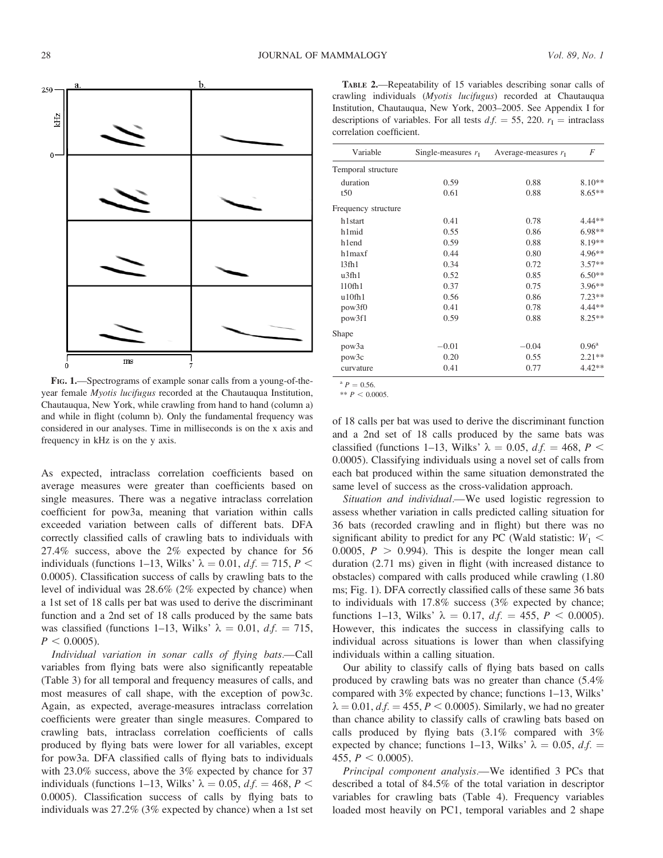

FIG. 1.—Spectrograms of example sonar calls from a young-of-theyear female Myotis lucifugus recorded at the Chautauqua Institution, Chautauqua, New York, while crawling from hand to hand (column a) and while in flight (column b). Only the fundamental frequency was considered in our analyses. Time in milliseconds is on the x axis and frequency in kHz is on the y axis.

As expected, intraclass correlation coefficients based on average measures were greater than coefficients based on single measures. There was a negative intraclass correlation coefficient for pow3a, meaning that variation within calls exceeded variation between calls of different bats. DFA correctly classified calls of crawling bats to individuals with 27.4% success, above the 2% expected by chance for 56 individuals (functions 1–13, Wilks'  $\lambda = 0.01$ ,  $df = 715$ ,  $P <$ 0.0005). Classification success of calls by crawling bats to the level of individual was 28.6% (2% expected by chance) when a 1st set of 18 calls per bat was used to derive the discriminant function and a 2nd set of 18 calls produced by the same bats was classified (functions 1–13, Wilks'  $\lambda = 0.01$ ,  $df = 715$ ,  $P < 0.0005$ ).

Individual variation in sonar calls of flying bats.—Call variables from flying bats were also significantly repeatable (Table 3) for all temporal and frequency measures of calls, and most measures of call shape, with the exception of pow3c. Again, as expected, average-measures intraclass correlation coefficients were greater than single measures. Compared to crawling bats, intraclass correlation coefficients of calls produced by flying bats were lower for all variables, except for pow3a. DFA classified calls of flying bats to individuals with 23.0% success, above the 3% expected by chance for 37 individuals (functions 1–13, Wilks'  $\lambda = 0.05$ ,  $d.f. = 468$ ,  $P <$ 0.0005). Classification success of calls by flying bats to individuals was 27.2% (3% expected by chance) when a 1st set

TABLE 2.—Repeatability of 15 variables describing sonar calls of crawling individuals (Myotis lucifugus) recorded at Chautauqua Institution, Chautauqua, New York, 2003–2005. See Appendix I for descriptions of variables. For all tests  $df = 55$ , 220.  $r<sub>I</sub> =$  intraclass correlation coefficient.

| Variable<br>Single-measures $rI$ |         | Average-measures $r_1$ | F              |  |
|----------------------------------|---------|------------------------|----------------|--|
| Temporal structure               |         |                        |                |  |
| duration                         | 0.59    | 0.88                   | $8.10**$       |  |
| t50                              | 0.61    | 0.88                   | $8.65**$       |  |
| Frequency structure              |         |                        |                |  |
| h1start                          | 0.41    | 0.78                   | 4.44**         |  |
| h1mid                            | 0.55    | 0.86                   | $6.98**$       |  |
| hlend                            | 0.59    | 0.88                   | 8.19**         |  |
| h1maxf                           | 0.44    | 0.80                   | 4.96**         |  |
| 13 <sub>fh1</sub>                | 0.34    | 0.72                   | $3.57**$       |  |
| u3fh1                            | 0.52    | 0.85                   | $6.50**$       |  |
| 110fh1                           | 0.37    | 0.75                   | 3.96**         |  |
| u10fh1                           | 0.56    | 0.86                   | $7.23**$       |  |
| pow3f0                           | 0.41    | 0.78                   | 4.44**         |  |
| pow3f1                           | 0.59    | 0.88                   | $8.25**$       |  |
| Shape                            |         |                        |                |  |
| pow <sub>3</sub> a               | $-0.01$ | $-0.04$                | $0.96^{\rm a}$ |  |
| pow3c                            | 0.20    | 0.55                   | $2.21**$       |  |
| curvature                        | 0.41    | 0.77                   | $4.42**$       |  |

 $^{a} P = 0.56$ 

\*\*  $P < 0.0005$ .

of 18 calls per bat was used to derive the discriminant function and a 2nd set of 18 calls produced by the same bats was classified (functions 1–13, Wilks'  $\lambda = 0.05$ ,  $df = 468$ ,  $P <$ 0.0005). Classifying individuals using a novel set of calls from each bat produced within the same situation demonstrated the same level of success as the cross-validation approach.

Situation and individual.—We used logistic regression to assess whether variation in calls predicted calling situation for 36 bats (recorded crawling and in flight) but there was no significant ability to predict for any PC (Wald statistic:  $W_1$  < 0.0005,  $P > 0.994$ ). This is despite the longer mean call duration (2.71 ms) given in flight (with increased distance to obstacles) compared with calls produced while crawling (1.80 ms; Fig. 1). DFA correctly classified calls of these same 36 bats to individuals with 17.8% success (3% expected by chance; functions 1–13, Wilks'  $\lambda = 0.17$ ,  $df = 455$ ,  $P < 0.0005$ ). However, this indicates the success in classifying calls to individual across situations is lower than when classifying individuals within a calling situation.

Our ability to classify calls of flying bats based on calls produced by crawling bats was no greater than chance (5.4% compared with 3% expected by chance; functions 1–13, Wilks'  $\lambda = 0.01$ ,  $d.f. = 455$ ,  $P < 0.0005$ ). Similarly, we had no greater than chance ability to classify calls of crawling bats based on calls produced by flying bats (3.1% compared with 3% expected by chance; functions 1–13, Wilks'  $\lambda = 0.05$ ,  $d.f.$  = 455,  $P < 0.0005$ ).

Principal component analysis.—We identified 3 PCs that described a total of 84.5% of the total variation in descriptor variables for crawling bats (Table 4). Frequency variables loaded most heavily on PC1, temporal variables and 2 shape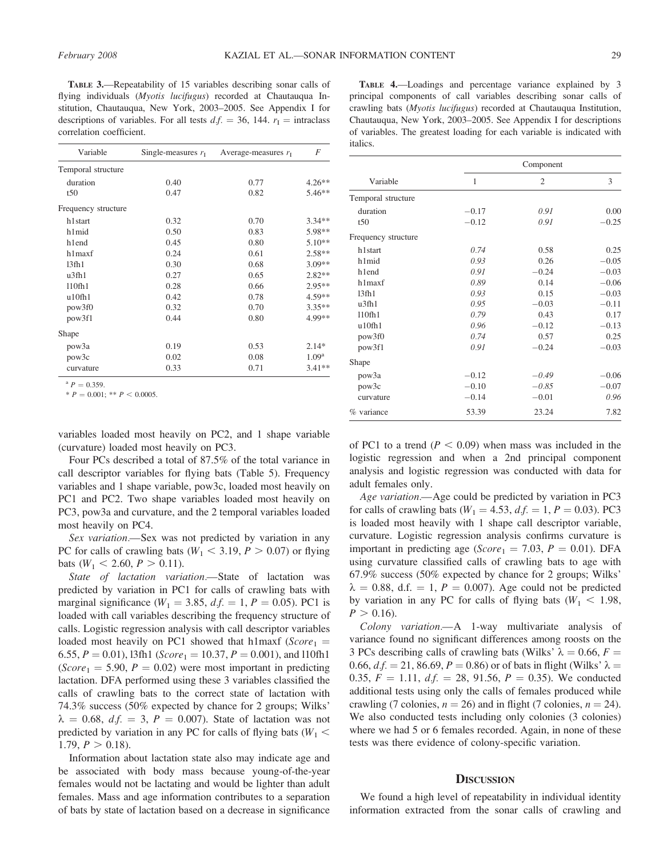TABLE 3.—Repeatability of 15 variables describing sonar calls of flying individuals (*Myotis lucifugus*) recorded at Chautauqua Institution, Chautauqua, New York, 2003–2005. See Appendix I for descriptions of variables. For all tests  $df = 36$ , 144.  $r<sub>I</sub> =$  intraclass correlation coefficient.

| Variable            | Single-measures $r_{\rm I}$ | Average-measures $r_1$ | F                 |
|---------------------|-----------------------------|------------------------|-------------------|
| Temporal structure  |                             |                        |                   |
| duration            | 0.40                        | 0.77                   | $4.26**$          |
| t50                 | 0.47                        | 0.82                   | $5.46**$          |
| Frequency structure |                             |                        |                   |
| h1 <sub>start</sub> | 0.32                        | 0.70                   | $3.34**$          |
| h1mid               | 0.50                        | 0.83                   | 5.98**            |
| hlend               | 0.45                        | 0.80                   | $5.10**$          |
| h1maxf              | 0.24                        | 0.61                   | $2.58**$          |
| 13 <sub>fh1</sub>   | 0.30                        | 0.68                   | 3.09**            |
| u3fh1               | 0.27                        | 0.65                   | $2.82**$          |
| 110fh1              | 0.28                        | 0.66                   | 2.95**            |
| u10fh1              | 0.42                        | 0.78                   | $4.59**$          |
| pow3f0              | 0.32                        | 0.70                   | $3.35**$          |
| pow3f1              | 0.44                        | 0.80                   | 4.99**            |
| Shape               |                             |                        |                   |
| pow <sub>3</sub> a  | 0.19                        | 0.53                   | $2.14*$           |
| pow3c               | 0.02                        | 0.08                   | 1.09 <sup>a</sup> |
| curvature           | 0.33                        | 0.71                   | $3.41**$          |

 $P = 0.359$ .

 $* P = 0.001; * P < 0.0005.$ 

variables loaded most heavily on PC2, and 1 shape variable (curvature) loaded most heavily on PC3.

Four PCs described a total of 87.5% of the total variance in call descriptor variables for flying bats (Table 5). Frequency variables and 1 shape variable, pow3c, loaded most heavily on PC1 and PC2. Two shape variables loaded most heavily on PC3, pow3a and curvature, and the 2 temporal variables loaded most heavily on PC4.

Sex variation.—Sex was not predicted by variation in any PC for calls of crawling bats ( $W_1$  < 3.19,  $P > 0.07$ ) or flying bats  $(W_1 < 2.60, P > 0.11)$ .

State of lactation variation.—State of lactation was predicted by variation in PC1 for calls of crawling bats with marginal significance ( $W_1 = 3.85$ ,  $df_1 = 1$ ,  $P = 0.05$ ). PC1 is loaded with call variables describing the frequency structure of calls. Logistic regression analysis with call descriptor variables loaded most heavily on PC1 showed that h1maxf ( $Score_1$  = 6.55,  $P = 0.01$ ), 13fh1 (Score<sub>1</sub> = 10.37,  $P = 0.001$ ), and 110fh1  $(Score<sub>1</sub> = 5.90, P = 0.02)$  were most important in predicting lactation. DFA performed using these 3 variables classified the calls of crawling bats to the correct state of lactation with 74.3% success (50% expected by chance for 2 groups; Wilks'  $\lambda = 0.68$ ,  $df = 3$ ,  $P = 0.007$ ). State of lactation was not predicted by variation in any PC for calls of flying bats ( $W_1$  < 1.79,  $P > 0.18$ ).

Information about lactation state also may indicate age and be associated with body mass because young-of-the-year females would not be lactating and would be lighter than adult females. Mass and age information contributes to a separation of bats by state of lactation based on a decrease in significance

TABLE 4.—Loadings and percentage variance explained by 3 principal components of call variables describing sonar calls of crawling bats (Myotis lucifugus) recorded at Chautauqua Institution, Chautauqua, New York, 2003–2005. See Appendix I for descriptions of variables. The greatest loading for each variable is indicated with italics.

| Variable            | Component |                |         |
|---------------------|-----------|----------------|---------|
|                     | 1         | $\overline{c}$ | 3       |
| Temporal structure  |           |                |         |
| duration            | $-0.17$   | 0.91           | 0.00    |
| t50                 | $-0.12$   | 0.91           | $-0.25$ |
| Frequency structure |           |                |         |
| h1start             | 0.74      | 0.58           | 0.25    |
| h1mid               | 0.93      | 0.26           | $-0.05$ |
| h <sub>1end</sub>   | 0.91      | $-0.24$        | $-0.03$ |
| h1maxf              | 0.89      | 0.14           | $-0.06$ |
| 13 <sub>fh1</sub>   | 0.93      | 0.15           | $-0.03$ |
| $u$ 3fh1            | 0.95      | $-0.03$        | $-0.11$ |
| 110fh1              | 0.79      | 0.43           | 0.17    |
| u10fh1              | 0.96      | $-0.12$        | $-0.13$ |
| pow3f0              | 0.74      | 0.57           | 0.25    |
| pow3f1              | 0.91      | $-0.24$        | $-0.03$ |
| Shape               |           |                |         |
| pow <sub>3</sub> a  | $-0.12$   | $-0.49$        | $-0.06$ |
| pow3c               | $-0.10$   | $-0.85$        | $-0.07$ |
| curvature           | $-0.14$   | $-0.01$        | 0.96    |
| % variance          | 53.39     | 23.24          | 7.82    |

of PC1 to a trend ( $P < 0.09$ ) when mass was included in the logistic regression and when a 2nd principal component analysis and logistic regression was conducted with data for adult females only.

Age variation.—Age could be predicted by variation in PC3 for calls of crawling bats ( $W_1 = 4.53$ ,  $df_1 = 1$ ,  $P = 0.03$ ). PC3 is loaded most heavily with 1 shape call descriptor variable, curvature. Logistic regression analysis confirms curvature is important in predicting age (Score<sub>1</sub> = 7.03, P = 0.01). DFA using curvature classified calls of crawling bats to age with 67.9% success (50% expected by chance for 2 groups; Wilks'  $\lambda = 0.88$ , d.f. = 1, P = 0.007). Age could not be predicted by variation in any PC for calls of flying bats ( $W_1$  < 1.98,  $P > 0.16$ .

Colony variation.—A 1-way multivariate analysis of variance found no significant differences among roosts on the 3 PCs describing calls of crawling bats (Wilks'  $\lambda = 0.66, F =$ 0.66,  $df = 21$ , 86.69,  $P = 0.86$ ) or of bats in flight (Wilks'  $\lambda =$ 0.35,  $F = 1.11$ ,  $df = 28$ , 91.56,  $P = 0.35$ ). We conducted additional tests using only the calls of females produced while crawling (7 colonies,  $n = 26$ ) and in flight (7 colonies,  $n = 24$ ). We also conducted tests including only colonies (3 colonies) where we had 5 or 6 females recorded. Again, in none of these tests was there evidence of colony-specific variation.

#### **DISCUSSION**

We found a high level of repeatability in individual identity information extracted from the sonar calls of crawling and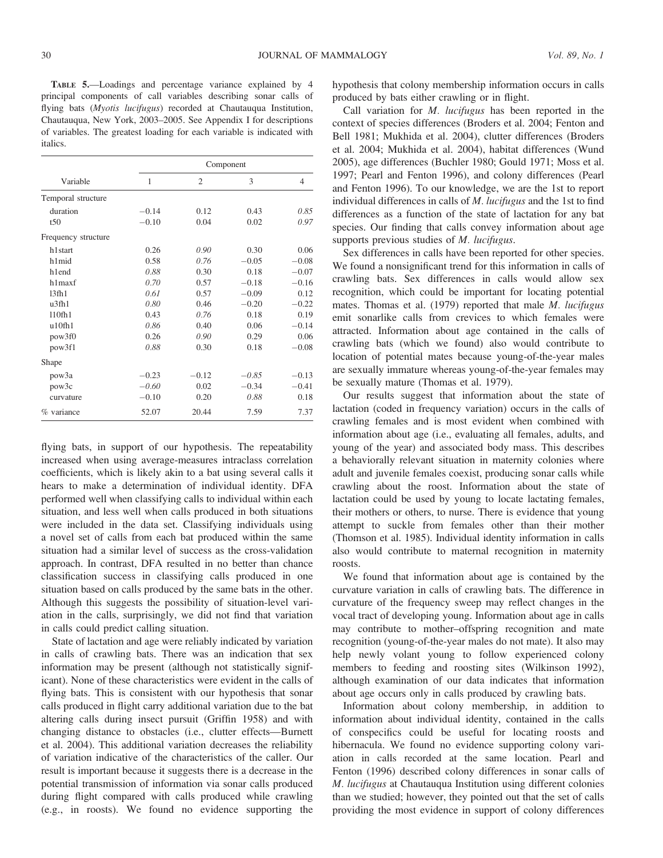TABLE 5.—Loadings and percentage variance explained by 4 principal components of call variables describing sonar calls of flying bats (Myotis lucifugus) recorded at Chautauqua Institution, Chautauqua, New York, 2003–2005. See Appendix I for descriptions of variables. The greatest loading for each variable is indicated with italics.

|                     |         |                | Component     |         |
|---------------------|---------|----------------|---------------|---------|
| Variable            | 1       | $\overline{2}$ | $\mathcal{E}$ | 4       |
| Temporal structure  |         |                |               |         |
| duration            | $-0.14$ | 0.12           | 0.43          | 0.85    |
| t50                 | $-0.10$ | 0.04           | 0.02          | 0.97    |
| Frequency structure |         |                |               |         |
| h1 <sub>start</sub> | 0.26    | 0.90           | 0.30          | 0.06    |
| h1mid               | 0.58    | 0.76           | $-0.05$       | $-0.08$ |
| h1end               | 0.88    | 0.30           | 0.18          | $-0.07$ |
| h1maxf              | 0.70    | 0.57           | $-0.18$       | $-0.16$ |
| 13 <sub>fh1</sub>   | 0.61    | 0.57           | $-0.09$       | 0.12    |
| $u$ 3fh $1$         | 0.80    | 0.46           | $-0.20$       | $-0.22$ |
| 110fh1              | 0.43    | 0.76           | 0.18          | 0.19    |
| u10fh1              | 0.86    | 0.40           | 0.06          | $-0.14$ |
| pow3f0              | 0.26    | 0.90           | 0.29          | 0.06    |
| pow3f1              | 0.88    | 0.30           | 0.18          | $-0.08$ |
| Shape               |         |                |               |         |
| pow3a               | $-0.23$ | $-0.12$        | $-0.85$       | $-0.13$ |
| pow3c               | $-0.60$ | 0.02           | $-0.34$       | $-0.41$ |
| curvature           | $-0.10$ | 0.20           | 0.88          | 0.18    |
| % variance          | 52.07   | 20.44          | 7.59          | 7.37    |

flying bats, in support of our hypothesis. The repeatability increased when using average-measures intraclass correlation coefficients, which is likely akin to a bat using several calls it hears to make a determination of individual identity. DFA performed well when classifying calls to individual within each situation, and less well when calls produced in both situations were included in the data set. Classifying individuals using a novel set of calls from each bat produced within the same situation had a similar level of success as the cross-validation approach. In contrast, DFA resulted in no better than chance classification success in classifying calls produced in one situation based on calls produced by the same bats in the other. Although this suggests the possibility of situation-level variation in the calls, surprisingly, we did not find that variation in calls could predict calling situation.

State of lactation and age were reliably indicated by variation in calls of crawling bats. There was an indication that sex information may be present (although not statistically significant). None of these characteristics were evident in the calls of flying bats. This is consistent with our hypothesis that sonar calls produced in flight carry additional variation due to the bat altering calls during insect pursuit (Griffin 1958) and with changing distance to obstacles (i.e., clutter effects—Burnett et al. 2004). This additional variation decreases the reliability of variation indicative of the characteristics of the caller. Our result is important because it suggests there is a decrease in the potential transmission of information via sonar calls produced during flight compared with calls produced while crawling (e.g., in roosts). We found no evidence supporting the

hypothesis that colony membership information occurs in calls produced by bats either crawling or in flight.

Call variation for M. lucifugus has been reported in the context of species differences (Broders et al. 2004; Fenton and Bell 1981; Mukhida et al. 2004), clutter differences (Broders et al. 2004; Mukhida et al. 2004), habitat differences (Wund 2005), age differences (Buchler 1980; Gould 1971; Moss et al. 1997; Pearl and Fenton 1996), and colony differences (Pearl and Fenton 1996). To our knowledge, we are the 1st to report individual differences in calls of M. lucifugus and the 1st to find differences as a function of the state of lactation for any bat species. Our finding that calls convey information about age supports previous studies of M. lucifugus.

Sex differences in calls have been reported for other species. We found a nonsignificant trend for this information in calls of crawling bats. Sex differences in calls would allow sex recognition, which could be important for locating potential mates. Thomas et al. (1979) reported that male M. lucifugus emit sonarlike calls from crevices to which females were attracted. Information about age contained in the calls of crawling bats (which we found) also would contribute to location of potential mates because young-of-the-year males are sexually immature whereas young-of-the-year females may be sexually mature (Thomas et al. 1979).

Our results suggest that information about the state of lactation (coded in frequency variation) occurs in the calls of crawling females and is most evident when combined with information about age (i.e., evaluating all females, adults, and young of the year) and associated body mass. This describes a behaviorally relevant situation in maternity colonies where adult and juvenile females coexist, producing sonar calls while crawling about the roost. Information about the state of lactation could be used by young to locate lactating females, their mothers or others, to nurse. There is evidence that young attempt to suckle from females other than their mother (Thomson et al. 1985). Individual identity information in calls also would contribute to maternal recognition in maternity roosts.

We found that information about age is contained by the curvature variation in calls of crawling bats. The difference in curvature of the frequency sweep may reflect changes in the vocal tract of developing young. Information about age in calls may contribute to mother–offspring recognition and mate recognition (young-of-the-year males do not mate). It also may help newly volant young to follow experienced colony members to feeding and roosting sites (Wilkinson 1992), although examination of our data indicates that information about age occurs only in calls produced by crawling bats.

Information about colony membership, in addition to information about individual identity, contained in the calls of conspecifics could be useful for locating roosts and hibernacula. We found no evidence supporting colony variation in calls recorded at the same location. Pearl and Fenton (1996) described colony differences in sonar calls of M. lucifugus at Chautauqua Institution using different colonies than we studied; however, they pointed out that the set of calls providing the most evidence in support of colony differences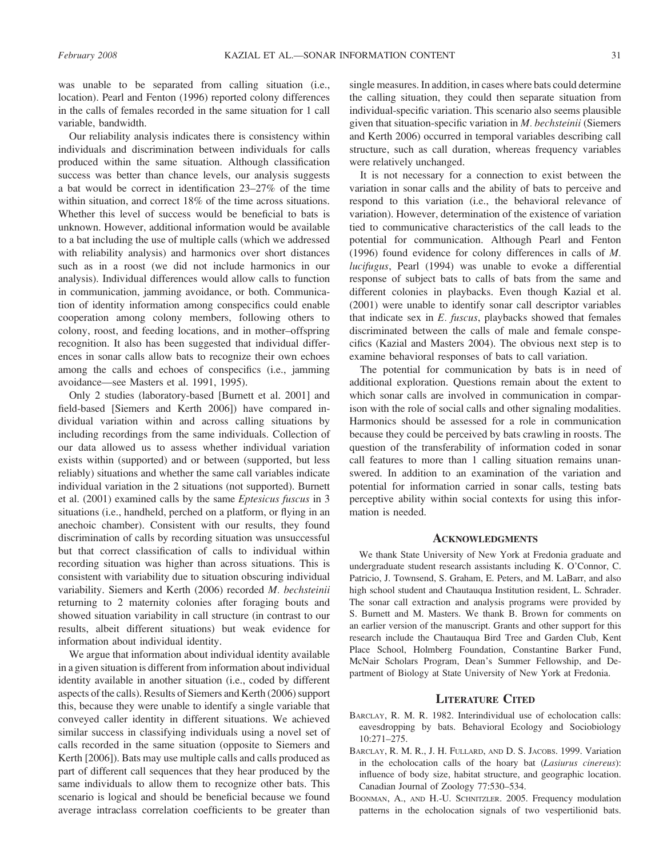was unable to be separated from calling situation (i.e., location). Pearl and Fenton (1996) reported colony differences in the calls of females recorded in the same situation for 1 call variable, bandwidth.

Our reliability analysis indicates there is consistency within individuals and discrimination between individuals for calls produced within the same situation. Although classification success was better than chance levels, our analysis suggests a bat would be correct in identification 23–27% of the time within situation, and correct 18% of the time across situations. Whether this level of success would be beneficial to bats is unknown. However, additional information would be available to a bat including the use of multiple calls (which we addressed with reliability analysis) and harmonics over short distances such as in a roost (we did not include harmonics in our analysis). Individual differences would allow calls to function in communication, jamming avoidance, or both. Communication of identity information among conspecifics could enable cooperation among colony members, following others to colony, roost, and feeding locations, and in mother–offspring recognition. It also has been suggested that individual differences in sonar calls allow bats to recognize their own echoes among the calls and echoes of conspecifics (i.e., jamming avoidance—see Masters et al. 1991, 1995).

Only 2 studies (laboratory-based [Burnett et al. 2001] and field-based [Siemers and Kerth 2006]) have compared individual variation within and across calling situations by including recordings from the same individuals. Collection of our data allowed us to assess whether individual variation exists within (supported) and or between (supported, but less reliably) situations and whether the same call variables indicate individual variation in the 2 situations (not supported). Burnett et al. (2001) examined calls by the same Eptesicus fuscus in 3 situations (i.e., handheld, perched on a platform, or flying in an anechoic chamber). Consistent with our results, they found discrimination of calls by recording situation was unsuccessful but that correct classification of calls to individual within recording situation was higher than across situations. This is consistent with variability due to situation obscuring individual variability. Siemers and Kerth (2006) recorded M. bechsteinii returning to 2 maternity colonies after foraging bouts and showed situation variability in call structure (in contrast to our results, albeit different situations) but weak evidence for information about individual identity.

We argue that information about individual identity available in a given situation is different from information about individual identity available in another situation (i.e., coded by different aspects of the calls). Results of Siemers and Kerth (2006) support this, because they were unable to identify a single variable that conveyed caller identity in different situations. We achieved similar success in classifying individuals using a novel set of calls recorded in the same situation (opposite to Siemers and Kerth [2006]). Bats may use multiple calls and calls produced as part of different call sequences that they hear produced by the same individuals to allow them to recognize other bats. This scenario is logical and should be beneficial because we found average intraclass correlation coefficients to be greater than single measures. In addition, in cases where bats could determine the calling situation, they could then separate situation from individual-specific variation. This scenario also seems plausible given that situation-specific variation in M. bechsteinii (Siemers and Kerth 2006) occurred in temporal variables describing call structure, such as call duration, whereas frequency variables were relatively unchanged.

It is not necessary for a connection to exist between the variation in sonar calls and the ability of bats to perceive and respond to this variation (i.e., the behavioral relevance of variation). However, determination of the existence of variation tied to communicative characteristics of the call leads to the potential for communication. Although Pearl and Fenton (1996) found evidence for colony differences in calls of M. lucifugus, Pearl (1994) was unable to evoke a differential response of subject bats to calls of bats from the same and different colonies in playbacks. Even though Kazial et al. (2001) were unable to identify sonar call descriptor variables that indicate sex in  $E$ . fuscus, playbacks showed that females discriminated between the calls of male and female conspecifics (Kazial and Masters 2004). The obvious next step is to examine behavioral responses of bats to call variation.

The potential for communication by bats is in need of additional exploration. Questions remain about the extent to which sonar calls are involved in communication in comparison with the role of social calls and other signaling modalities. Harmonics should be assessed for a role in communication because they could be perceived by bats crawling in roosts. The question of the transferability of information coded in sonar call features to more than 1 calling situation remains unanswered. In addition to an examination of the variation and potential for information carried in sonar calls, testing bats perceptive ability within social contexts for using this information is needed.

#### **ACKNOWLEDGMENTS**

We thank State University of New York at Fredonia graduate and undergraduate student research assistants including K. O'Connor, C. Patricio, J. Townsend, S. Graham, E. Peters, and M. LaBarr, and also high school student and Chautauqua Institution resident, L. Schrader. The sonar call extraction and analysis programs were provided by S. Burnett and M. Masters. We thank B. Brown for comments on an earlier version of the manuscript. Grants and other support for this research include the Chautauqua Bird Tree and Garden Club, Kent Place School, Holmberg Foundation, Constantine Barker Fund, McNair Scholars Program, Dean's Summer Fellowship, and Department of Biology at State University of New York at Fredonia.

#### LITERATURE CITED

- BARCLAY, R. M. R. 1982. Interindividual use of echolocation calls: eavesdropping by bats. Behavioral Ecology and Sociobiology 10:271–275.
- BARCLAY, R. M. R., J. H. FULLARD, AND D. S. JACOBS. 1999. Variation in the echolocation calls of the hoary bat (Lasiurus cinereus): influence of body size, habitat structure, and geographic location. Canadian Journal of Zoology 77:530–534.
- BOONMAN, A., AND H.-U. SCHNITZLER. 2005. Frequency modulation patterns in the echolocation signals of two vespertilionid bats.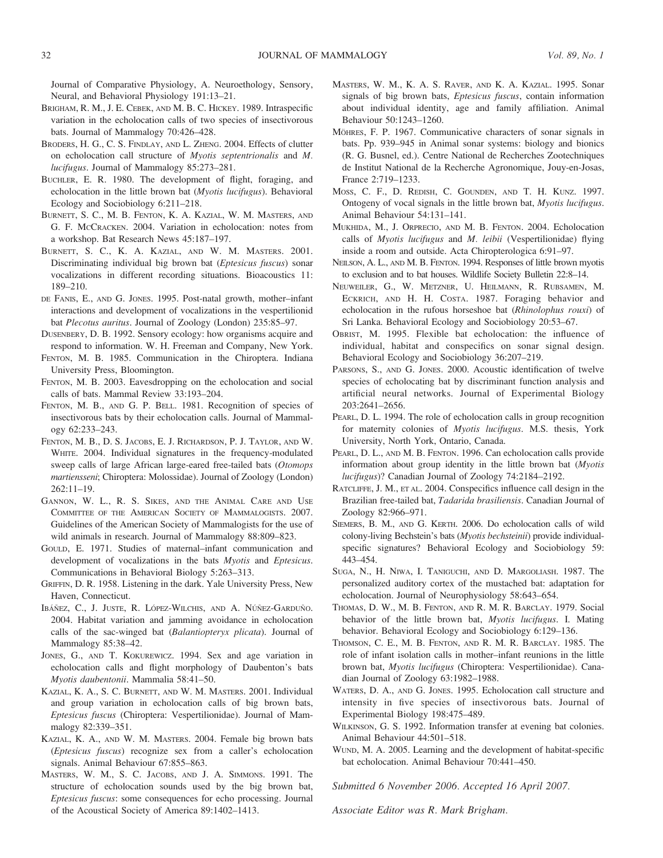Journal of Comparative Physiology, A. Neuroethology, Sensory, Neural, and Behavioral Physiology 191:13–21.

- BRIGHAM, R. M., J. E. CEBEK, AND M. B. C. HICKEY. 1989. Intraspecific variation in the echolocation calls of two species of insectivorous bats. Journal of Mammalogy 70:426–428.
- BRODERS, H. G., C. S. FINDLAY, AND L. ZHENG. 2004. Effects of clutter on echolocation call structure of Myotis septentrionalis and M. lucifugus. Journal of Mammalogy 85:273–281.
- BUCHLER, E. R. 1980. The development of flight, foraging, and echolocation in the little brown bat (Myotis lucifugus). Behavioral Ecology and Sociobiology 6:211–218.
- BURNETT, S. C., M. B. FENTON, K. A. KAZIAL, W. M. MASTERS, AND G. F. MCCRACKEN. 2004. Variation in echolocation: notes from a workshop. Bat Research News 45:187–197.
- BURNETT, S. C., K. A. KAZIAL, AND W. M. MASTERS. 2001. Discriminating individual big brown bat (Eptesicus fuscus) sonar vocalizations in different recording situations. Bioacoustics 11: 189–210.
- DE FANIS, E., AND G. JONES. 1995. Post-natal growth, mother–infant interactions and development of vocalizations in the vespertilionid bat Plecotus auritus. Journal of Zoology (London) 235:85–97.
- DUSENBERY, D. B. 1992. Sensory ecology: how organisms acquire and respond to information. W. H. Freeman and Company, New York.
- FENTON, M. B. 1985. Communication in the Chiroptera. Indiana University Press, Bloomington.
- FENTON, M. B. 2003. Eavesdropping on the echolocation and social calls of bats. Mammal Review 33:193–204.
- FENTON, M. B., AND G. P. BELL. 1981. Recognition of species of insectivorous bats by their echolocation calls. Journal of Mammalogy 62:233–243.
- FENTON, M. B., D. S. JACOBS, E. J. RICHARDSON, P. J. TAYLOR, AND W. WHITE. 2004. Individual signatures in the frequency-modulated sweep calls of large African large-eared free-tailed bats (Otomops martiensseni; Chiroptera: Molossidae). Journal of Zoology (London) 262:11–19.
- GANNON, W. L., R. S. SIKES, AND THE ANIMAL CARE AND USE COMMITTEE OF THE AMERICAN SOCIETY OF MAMMALOGISTS. 2007. Guidelines of the American Society of Mammalogists for the use of wild animals in research. Journal of Mammalogy 88:809–823.
- GOULD, E. 1971. Studies of maternal–infant communication and development of vocalizations in the bats Myotis and Eptesicus. Communications in Behavioral Biology 5:263–313.
- GRIFFIN, D. R. 1958. Listening in the dark. Yale University Press, New Haven, Connecticut.
- IBÁÑEZ, C., J. JUSTE, R. LÓPEZ-WILCHIS, AND A. NÚÑEZ-GARDUÑO. 2004. Habitat variation and jamming avoidance in echolocation calls of the sac-winged bat (Balantiopteryx plicata). Journal of Mammalogy 85:38–42.
- JONES, G., AND T. KOKUREWICZ. 1994. Sex and age variation in echolocation calls and flight morphology of Daubenton's bats Myotis daubentonii. Mammalia 58:41–50.
- KAZIAL, K. A., S. C. BURNETT, AND W. M. MASTERS. 2001. Individual and group variation in echolocation calls of big brown bats, Eptesicus fuscus (Chiroptera: Vespertilionidae). Journal of Mammalogy 82:339–351.
- KAZIAL, K. A., AND W. M. MASTERS. 2004. Female big brown bats (Eptesicus fuscus) recognize sex from a caller's echolocation signals. Animal Behaviour 67:855–863.
- MASTERS, W. M., S. C. JACOBS, AND J. A. SIMMONS. 1991. The structure of echolocation sounds used by the big brown bat, Eptesicus fuscus: some consequences for echo processing. Journal of the Acoustical Society of America 89:1402–1413.
- MASTERS, W. M., K. A. S. RAVER, AND K. A. KAZIAL. 1995. Sonar signals of big brown bats, Eptesicus fuscus, contain information about individual identity, age and family affiliation. Animal Behaviour 50:1243–1260.
- MÖHRES, F. P. 1967. Communicative characters of sonar signals in bats. Pp. 939–945 in Animal sonar systems: biology and bionics (R. G. Busnel, ed.). Centre National de Recherches Zootechniques de Institut National de la Recherche Agronomique, Jouy-en-Josas, France 2:719–1233.
- MOSS, C. F., D. REDISH, C. GOUNDEN, AND T. H. KUNZ. 1997. Ontogeny of vocal signals in the little brown bat, Myotis lucifugus. Animal Behaviour 54:131–141.
- MUKHIDA, M., J. ORPRECIO, AND M. B. FENTON. 2004. Echolocation calls of Myotis lucifugus and M. leibii (Vespertilionidae) flying inside a room and outside. Acta Chiropterologica 6:91–97.
- NEILSON, A. L., AND M. B. FENTON. 1994. Responses of little brown myotis to exclusion and to bat houses. Wildlife Society Bulletin 22:8–14.
- NEUWEILER, G., W. METZNER, U. HEILMANN, R. RUBSAMEN, M. ECKRICH, AND H. H. COSTA. 1987. Foraging behavior and echolocation in the rufous horseshoe bat (Rhinolophus rouxi) of Sri Lanka. Behavioral Ecology and Sociobiology 20:53–67.
- OBRIST, M. 1995. Flexible bat echolocation: the influence of individual, habitat and conspecifics on sonar signal design. Behavioral Ecology and Sociobiology 36:207–219.
- PARSONS, S., AND G. JONES. 2000. Acoustic identification of twelve species of echolocating bat by discriminant function analysis and artificial neural networks. Journal of Experimental Biology 203:2641–2656.
- PEARL, D. L. 1994. The role of echolocation calls in group recognition for maternity colonies of Myotis lucifugus. M.S. thesis, York University, North York, Ontario, Canada.
- PEARL, D. L., AND M. B. FENTON. 1996. Can echolocation calls provide information about group identity in the little brown bat (Myotis lucifugus)? Canadian Journal of Zoology 74:2184–2192.
- RATCLIFFE, J. M., ET AL. 2004. Conspecifics influence call design in the Brazilian free-tailed bat, Tadarida brasiliensis. Canadian Journal of Zoology 82:966–971.
- SIEMERS, B. M., AND G. KERTH. 2006. Do echolocation calls of wild colony-living Bechstein's bats (Myotis bechsteinii) provide individualspecific signatures? Behavioral Ecology and Sociobiology 59: 443–454.
- SUGA, N., H. NIWA, I. TANIGUCHI, AND D. MARGOLIASH. 1987. The personalized auditory cortex of the mustached bat: adaptation for echolocation. Journal of Neurophysiology 58:643–654.
- THOMAS, D. W., M. B. FENTON, AND R. M. R. BARCLAY. 1979. Social behavior of the little brown bat, Myotis lucifugus. I. Mating behavior. Behavioral Ecology and Sociobiology 6:129–136.
- THOMSON, C. E., M. B. FENTON, AND R. M. R. BARCLAY. 1985. The role of infant isolation calls in mother–infant reunions in the little brown bat, Myotis lucifugus (Chiroptera: Vespertilionidae). Canadian Journal of Zoology 63:1982–1988.
- WATERS, D. A., AND G. JONES. 1995. Echolocation call structure and intensity in five species of insectivorous bats. Journal of Experimental Biology 198:475–489.
- WILKINSON, G. S. 1992. Information transfer at evening bat colonies. Animal Behaviour 44:501–518.
- WUND, M. A. 2005. Learning and the development of habitat-specific bat echolocation. Animal Behaviour 70:441–450.

Submitted 6 November 2006. Accepted 16 April 2007.

Associate Editor was R. Mark Brigham.